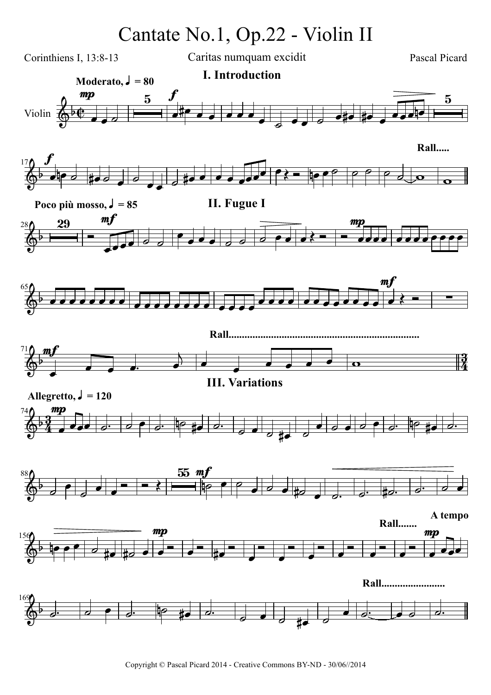## Cantate No.1, Op.22 - Violin II

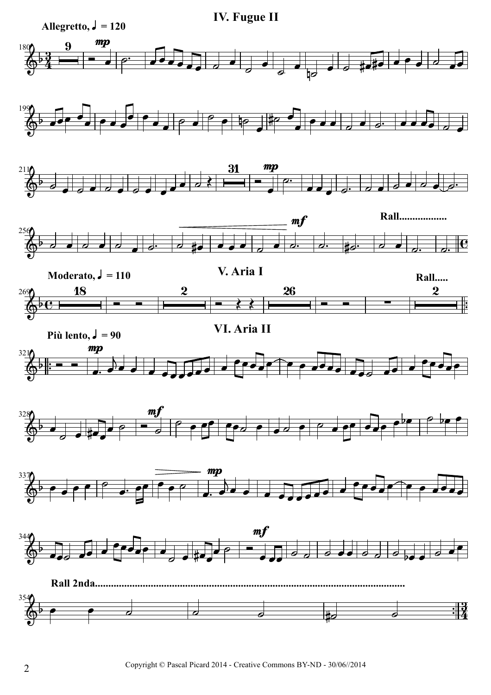